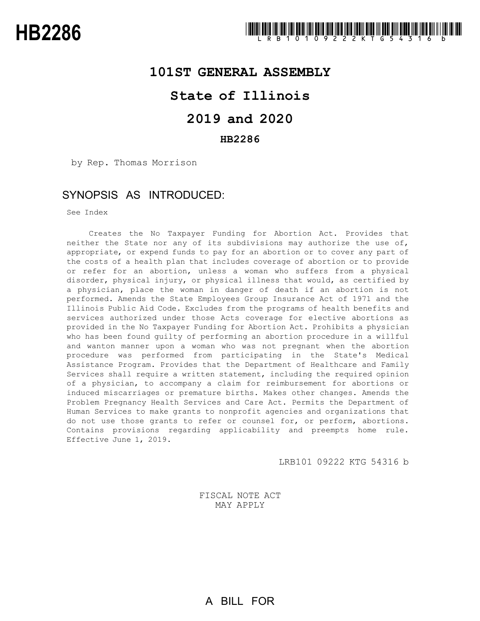

### **101ST GENERAL ASSEMBLY**

# **State of Illinois**

# **2019 and 2020**

### **HB2286**

by Rep. Thomas Morrison

## SYNOPSIS AS INTRODUCED:

See Index

Creates the No Taxpayer Funding for Abortion Act. Provides that neither the State nor any of its subdivisions may authorize the use of, appropriate, or expend funds to pay for an abortion or to cover any part of the costs of a health plan that includes coverage of abortion or to provide or refer for an abortion, unless a woman who suffers from a physical disorder, physical injury, or physical illness that would, as certified by a physician, place the woman in danger of death if an abortion is not performed. Amends the State Employees Group Insurance Act of 1971 and the Illinois Public Aid Code. Excludes from the programs of health benefits and services authorized under those Acts coverage for elective abortions as provided in the No Taxpayer Funding for Abortion Act. Prohibits a physician who has been found guilty of performing an abortion procedure in a willful and wanton manner upon a woman who was not pregnant when the abortion procedure was performed from participating in the State's Medical Assistance Program. Provides that the Department of Healthcare and Family Services shall require a written statement, including the required opinion of a physician, to accompany a claim for reimbursement for abortions or induced miscarriages or premature births. Makes other changes. Amends the Problem Pregnancy Health Services and Care Act. Permits the Department of Human Services to make grants to nonprofit agencies and organizations that do not use those grants to refer or counsel for, or perform, abortions. Contains provisions regarding applicability and preempts home rule. Effective June 1, 2019.

LRB101 09222 KTG 54316 b

FISCAL NOTE ACT MAY APPLY

A BILL FOR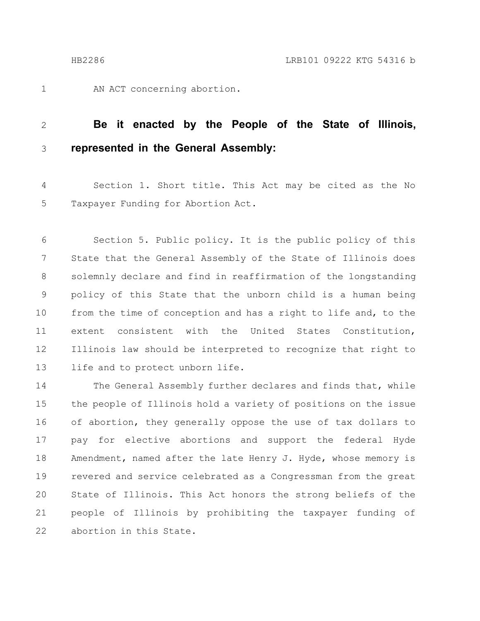AN ACT concerning abortion.

#### **Be it enacted by the People of the State of Illinois, represented in the General Assembly:** 2 3

Section 1. Short title. This Act may be cited as the No Taxpayer Funding for Abortion Act. 4 5

Section 5. Public policy. It is the public policy of this State that the General Assembly of the State of Illinois does solemnly declare and find in reaffirmation of the longstanding policy of this State that the unborn child is a human being from the time of conception and has a right to life and, to the extent consistent with the United States Constitution, Illinois law should be interpreted to recognize that right to life and to protect unborn life. 6 7 8 9 10 11 12 13

The General Assembly further declares and finds that, while the people of Illinois hold a variety of positions on the issue of abortion, they generally oppose the use of tax dollars to pay for elective abortions and support the federal Hyde Amendment, named after the late Henry J. Hyde, whose memory is revered and service celebrated as a Congressman from the great State of Illinois. This Act honors the strong beliefs of the people of Illinois by prohibiting the taxpayer funding of abortion in this State. 14 15 16 17 18 19 20 21 22

1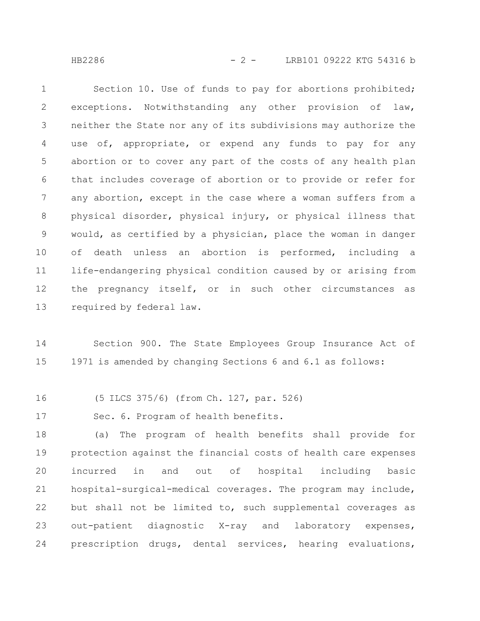HB2286 - 2 - LRB101 09222 KTG 54316 b

Section 10. Use of funds to pay for abortions prohibited; exceptions. Notwithstanding any other provision of law, neither the State nor any of its subdivisions may authorize the use of, appropriate, or expend any funds to pay for any abortion or to cover any part of the costs of any health plan that includes coverage of abortion or to provide or refer for any abortion, except in the case where a woman suffers from a physical disorder, physical injury, or physical illness that would, as certified by a physician, place the woman in danger of death unless an abortion is performed, including a life-endangering physical condition caused by or arising from the pregnancy itself, or in such other circumstances as required by federal law. 1 2 3 4 5 6 7 8 9 10 11 12 13

Section 900. The State Employees Group Insurance Act of 1971 is amended by changing Sections 6 and 6.1 as follows: 14 15

(5 ILCS 375/6) (from Ch. 127, par. 526) 16

Sec. 6. Program of health benefits. 17

(a) The program of health benefits shall provide for protection against the financial costs of health care expenses incurred in and out of hospital including basic hospital-surgical-medical coverages. The program may include, but shall not be limited to, such supplemental coverages as out-patient diagnostic X-ray and laboratory expenses, prescription drugs, dental services, hearing evaluations, 18 19 20 21 22 23 24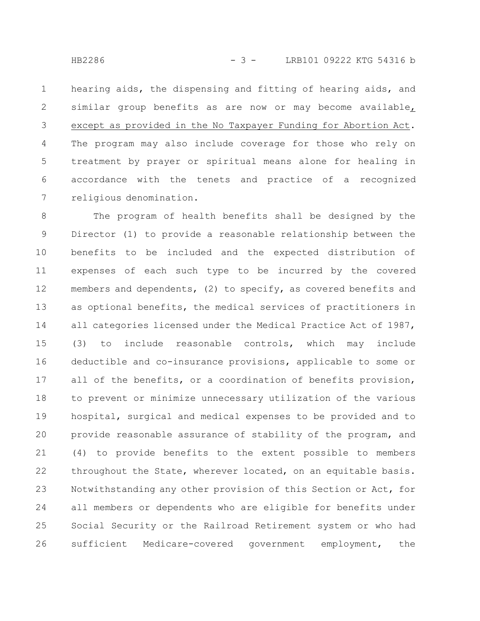hearing aids, the dispensing and fitting of hearing aids, and similar group benefits as are now or may become available, except as provided in the No Taxpayer Funding for Abortion Act. The program may also include coverage for those who rely on treatment by prayer or spiritual means alone for healing in accordance with the tenets and practice of a recognized religious denomination. 1 2 3 4 5 6 7

The program of health benefits shall be designed by the Director (1) to provide a reasonable relationship between the benefits to be included and the expected distribution of expenses of each such type to be incurred by the covered members and dependents, (2) to specify, as covered benefits and as optional benefits, the medical services of practitioners in all categories licensed under the Medical Practice Act of 1987, (3) to include reasonable controls, which may include deductible and co-insurance provisions, applicable to some or all of the benefits, or a coordination of benefits provision, to prevent or minimize unnecessary utilization of the various hospital, surgical and medical expenses to be provided and to provide reasonable assurance of stability of the program, and (4) to provide benefits to the extent possible to members throughout the State, wherever located, on an equitable basis. Notwithstanding any other provision of this Section or Act, for all members or dependents who are eligible for benefits under Social Security or the Railroad Retirement system or who had sufficient Medicare-covered government employment, the 8 9 10 11 12 13 14 15 16 17 18 19 20 21 22 23 24 25 26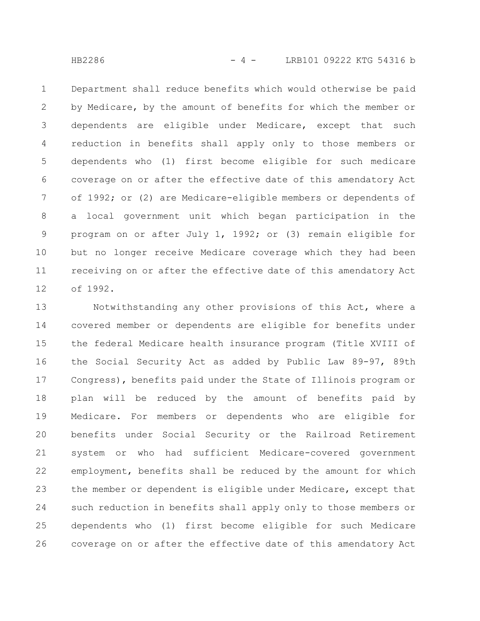HB2286 - 4 - LRB101 09222 KTG 54316 b

Department shall reduce benefits which would otherwise be paid by Medicare, by the amount of benefits for which the member or dependents are eligible under Medicare, except that such reduction in benefits shall apply only to those members or dependents who (1) first become eligible for such medicare coverage on or after the effective date of this amendatory Act of 1992; or (2) are Medicare-eligible members or dependents of a local government unit which began participation in the program on or after July 1, 1992; or (3) remain eligible for but no longer receive Medicare coverage which they had been receiving on or after the effective date of this amendatory Act of 1992. 1 2 3 4 5 6 7 8 9 10 11 12

Notwithstanding any other provisions of this Act, where a covered member or dependents are eligible for benefits under the federal Medicare health insurance program (Title XVIII of the Social Security Act as added by Public Law 89-97, 89th Congress), benefits paid under the State of Illinois program or plan will be reduced by the amount of benefits paid by Medicare. For members or dependents who are eligible for benefits under Social Security or the Railroad Retirement system or who had sufficient Medicare-covered government employment, benefits shall be reduced by the amount for which the member or dependent is eligible under Medicare, except that such reduction in benefits shall apply only to those members or dependents who (1) first become eligible for such Medicare coverage on or after the effective date of this amendatory Act 13 14 15 16 17 18 19 20 21 22 23 24 25 26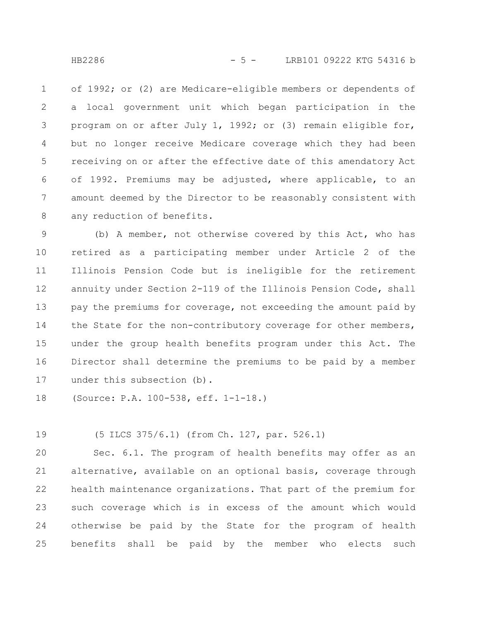of 1992; or (2) are Medicare-eligible members or dependents of a local government unit which began participation in the program on or after July 1, 1992; or (3) remain eligible for, but no longer receive Medicare coverage which they had been receiving on or after the effective date of this amendatory Act of 1992. Premiums may be adjusted, where applicable, to an amount deemed by the Director to be reasonably consistent with any reduction of benefits. 1 2 3 4 5 6 7 8

(b) A member, not otherwise covered by this Act, who has retired as a participating member under Article 2 of the Illinois Pension Code but is ineligible for the retirement annuity under Section 2-119 of the Illinois Pension Code, shall pay the premiums for coverage, not exceeding the amount paid by the State for the non-contributory coverage for other members, under the group health benefits program under this Act. The Director shall determine the premiums to be paid by a member under this subsection (b). 9 10 11 12 13 14 15 16 17

(Source: P.A. 100-538, eff. 1-1-18.) 18

(5 ILCS 375/6.1) (from Ch. 127, par. 526.1) 19

Sec. 6.1. The program of health benefits may offer as an alternative, available on an optional basis, coverage through health maintenance organizations. That part of the premium for such coverage which is in excess of the amount which would otherwise be paid by the State for the program of health benefits shall be paid by the member who elects such 20 21 22 23 24 25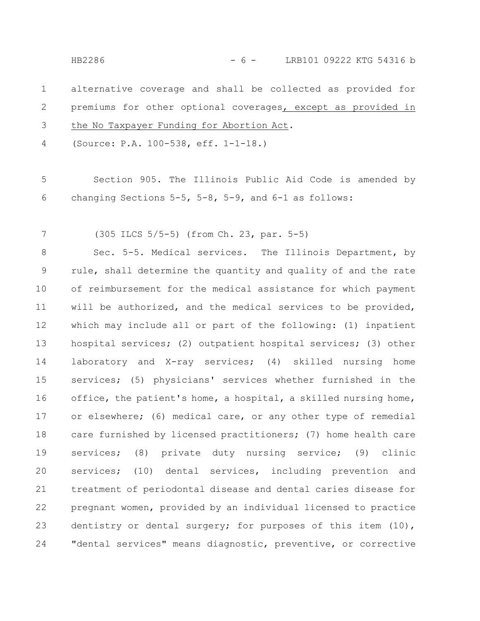HB2286 - 6 - LRB101 09222 KTG 54316 b

alternative coverage and shall be collected as provided for premiums for other optional coverages, except as provided in the No Taxpayer Funding for Abortion Act. 1 2 3

(Source: P.A. 100-538, eff. 1-1-18.) 4

Section 905. The Illinois Public Aid Code is amended by changing Sections 5-5, 5-8, 5-9, and 6-1 as follows: 5 6

(305 ILCS 5/5-5) (from Ch. 23, par. 5-5) 7

Sec. 5-5. Medical services. The Illinois Department, by rule, shall determine the quantity and quality of and the rate of reimbursement for the medical assistance for which payment will be authorized, and the medical services to be provided, which may include all or part of the following: (1) inpatient hospital services; (2) outpatient hospital services; (3) other laboratory and X-ray services; (4) skilled nursing home services; (5) physicians' services whether furnished in the office, the patient's home, a hospital, a skilled nursing home, or elsewhere; (6) medical care, or any other type of remedial care furnished by licensed practitioners; (7) home health care services; (8) private duty nursing service; (9) clinic services; (10) dental services, including prevention and treatment of periodontal disease and dental caries disease for pregnant women, provided by an individual licensed to practice dentistry or dental surgery; for purposes of this item (10), "dental services" means diagnostic, preventive, or corrective 8 9 10 11 12 13 14 15 16 17 18 19 20 21 22 23 24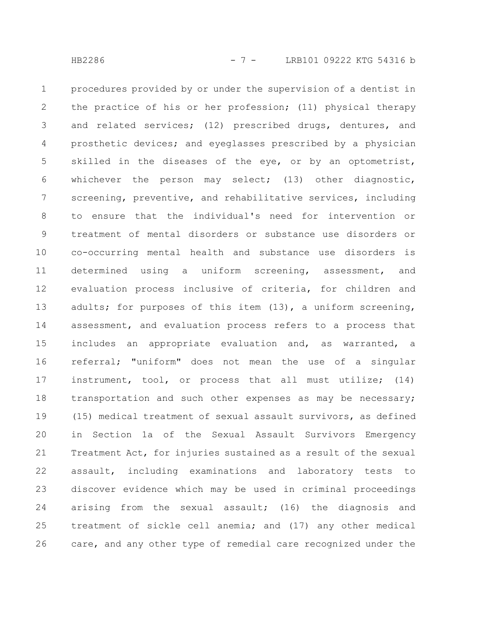procedures provided by or under the supervision of a dentist in the practice of his or her profession; (11) physical therapy and related services; (12) prescribed drugs, dentures, and prosthetic devices; and eyeglasses prescribed by a physician skilled in the diseases of the eye, or by an optometrist, whichever the person may select; (13) other diagnostic, screening, preventive, and rehabilitative services, including to ensure that the individual's need for intervention or treatment of mental disorders or substance use disorders or co-occurring mental health and substance use disorders is determined using a uniform screening, assessment, and evaluation process inclusive of criteria, for children and adults; for purposes of this item (13), a uniform screening, assessment, and evaluation process refers to a process that includes an appropriate evaluation and, as warranted, a referral; "uniform" does not mean the use of a singular instrument, tool, or process that all must utilize; (14) transportation and such other expenses as may be necessary; (15) medical treatment of sexual assault survivors, as defined in Section 1a of the Sexual Assault Survivors Emergency Treatment Act, for injuries sustained as a result of the sexual assault, including examinations and laboratory tests to discover evidence which may be used in criminal proceedings arising from the sexual assault; (16) the diagnosis and treatment of sickle cell anemia; and (17) any other medical care, and any other type of remedial care recognized under the 1 2 3 4 5 6 7 8 9 10 11 12 13 14 15 16 17 18 19 20 21 22 23 24 25 26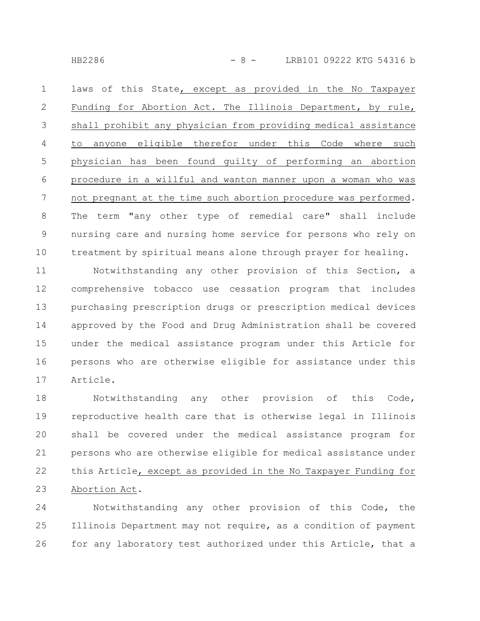HB2286 - 8 - LRB101 09222 KTG 54316 b

laws of this State, except as provided in the No Taxpayer Funding for Abortion Act. The Illinois Department, by rule, shall prohibit any physician from providing medical assistance to anyone eligible therefor under this Code where such physician has been found guilty of performing an abortion procedure in a willful and wanton manner upon a woman who was not pregnant at the time such abortion procedure was performed. The term "any other type of remedial care" shall include nursing care and nursing home service for persons who rely on treatment by spiritual means alone through prayer for healing. 1 2 3 4 5 6 7 8 9 10

Notwithstanding any other provision of this Section, a comprehensive tobacco use cessation program that includes purchasing prescription drugs or prescription medical devices approved by the Food and Drug Administration shall be covered under the medical assistance program under this Article for persons who are otherwise eligible for assistance under this Article. 11 12 13 14 15 16 17

Notwithstanding any other provision of this Code, reproductive health care that is otherwise legal in Illinois shall be covered under the medical assistance program for persons who are otherwise eligible for medical assistance under this Article, except as provided in the No Taxpayer Funding for Abortion Act. 18 19 20 21 22 23

Notwithstanding any other provision of this Code, the Illinois Department may not require, as a condition of payment for any laboratory test authorized under this Article, that a 24 25 26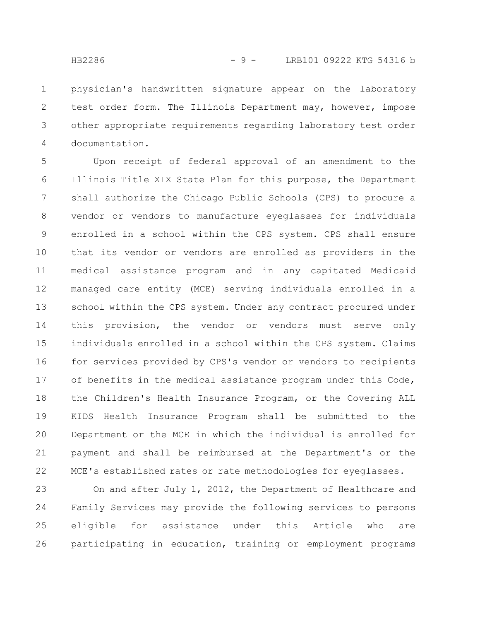physician's handwritten signature appear on the laboratory test order form. The Illinois Department may, however, impose other appropriate requirements regarding laboratory test order documentation. 1 2 3 4

Upon receipt of federal approval of an amendment to the Illinois Title XIX State Plan for this purpose, the Department shall authorize the Chicago Public Schools (CPS) to procure a vendor or vendors to manufacture eyeglasses for individuals enrolled in a school within the CPS system. CPS shall ensure that its vendor or vendors are enrolled as providers in the medical assistance program and in any capitated Medicaid managed care entity (MCE) serving individuals enrolled in a school within the CPS system. Under any contract procured under this provision, the vendor or vendors must serve only individuals enrolled in a school within the CPS system. Claims for services provided by CPS's vendor or vendors to recipients of benefits in the medical assistance program under this Code, the Children's Health Insurance Program, or the Covering ALL KIDS Health Insurance Program shall be submitted to the Department or the MCE in which the individual is enrolled for payment and shall be reimbursed at the Department's or the MCE's established rates or rate methodologies for eyeglasses. 5 6 7 8 9 10 11 12 13 14 15 16 17 18 19 20 21 22

On and after July 1, 2012, the Department of Healthcare and Family Services may provide the following services to persons eligible for assistance under this Article who are participating in education, training or employment programs 23 24 25 26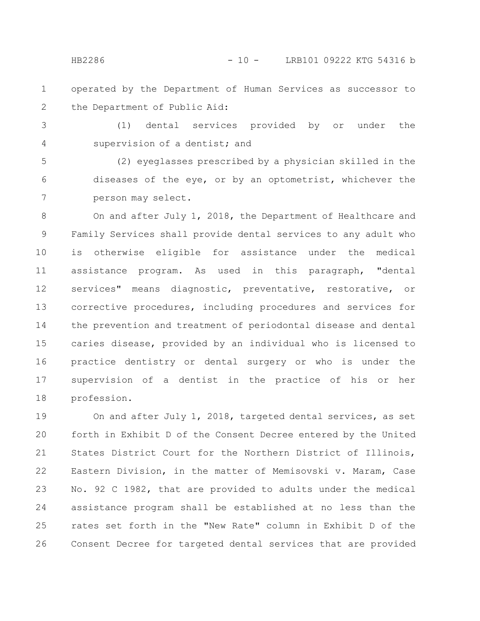operated by the Department of Human Services as successor to the Department of Public Aid: 1 2

(1) dental services provided by or under the supervision of a dentist; and 3 4

(2) eyeglasses prescribed by a physician skilled in the diseases of the eye, or by an optometrist, whichever the person may select. 5 6 7

On and after July 1, 2018, the Department of Healthcare and Family Services shall provide dental services to any adult who is otherwise eligible for assistance under the medical assistance program. As used in this paragraph, "dental services" means diagnostic, preventative, restorative, or corrective procedures, including procedures and services for the prevention and treatment of periodontal disease and dental caries disease, provided by an individual who is licensed to practice dentistry or dental surgery or who is under the supervision of a dentist in the practice of his or her profession. 8 9 10 11 12 13 14 15 16 17 18

On and after July 1, 2018, targeted dental services, as set forth in Exhibit D of the Consent Decree entered by the United States District Court for the Northern District of Illinois, Eastern Division, in the matter of Memisovski v. Maram, Case No. 92 C 1982, that are provided to adults under the medical assistance program shall be established at no less than the rates set forth in the "New Rate" column in Exhibit D of the Consent Decree for targeted dental services that are provided 19 20 21 22 23 24 25 26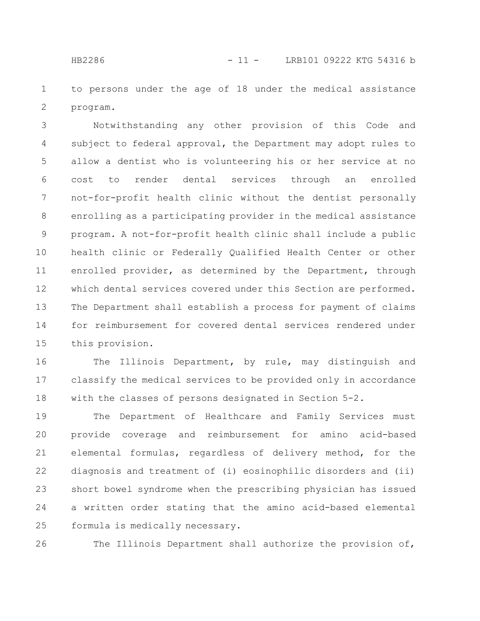to persons under the age of 18 under the medical assistance program. 1 2

Notwithstanding any other provision of this Code and subject to federal approval, the Department may adopt rules to allow a dentist who is volunteering his or her service at no cost to render dental services through an enrolled not-for-profit health clinic without the dentist personally enrolling as a participating provider in the medical assistance program. A not-for-profit health clinic shall include a public health clinic or Federally Qualified Health Center or other enrolled provider, as determined by the Department, through which dental services covered under this Section are performed. The Department shall establish a process for payment of claims for reimbursement for covered dental services rendered under this provision. 3 4 5 6 7 8 9 10 11 12 13 14 15

The Illinois Department, by rule, may distinguish and classify the medical services to be provided only in accordance with the classes of persons designated in Section 5-2. 16 17 18

The Department of Healthcare and Family Services must provide coverage and reimbursement for amino acid-based elemental formulas, regardless of delivery method, for the diagnosis and treatment of (i) eosinophilic disorders and (ii) short bowel syndrome when the prescribing physician has issued a written order stating that the amino acid-based elemental formula is medically necessary. 19 20 21 22 23 24 25

The Illinois Department shall authorize the provision of, 26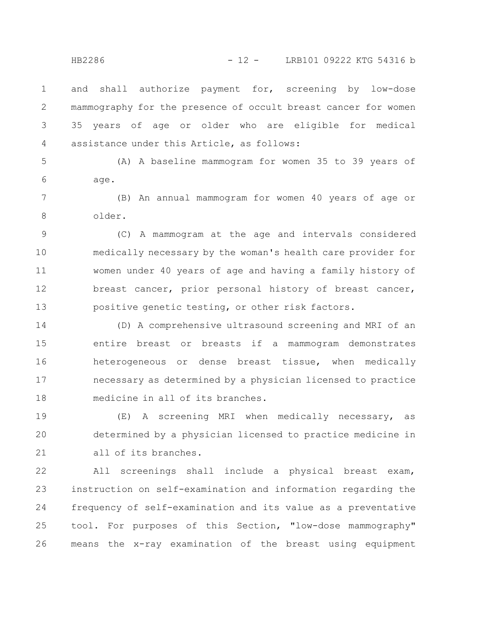and shall authorize payment for, screening by low-dose mammography for the presence of occult breast cancer for women 35 years of age or older who are eligible for medical assistance under this Article, as follows: 1 2 3 4

(A) A baseline mammogram for women 35 to 39 years of age. 5 6

(B) An annual mammogram for women 40 years of age or older. 7 8

(C) A mammogram at the age and intervals considered medically necessary by the woman's health care provider for women under 40 years of age and having a family history of breast cancer, prior personal history of breast cancer, positive genetic testing, or other risk factors. 9 10 11 12 13

(D) A comprehensive ultrasound screening and MRI of an entire breast or breasts if a mammogram demonstrates heterogeneous or dense breast tissue, when medically necessary as determined by a physician licensed to practice medicine in all of its branches. 14 15 16 17 18

(E) A screening MRI when medically necessary, as determined by a physician licensed to practice medicine in all of its branches. 19 20 21

All screenings shall include a physical breast exam, instruction on self-examination and information regarding the frequency of self-examination and its value as a preventative tool. For purposes of this Section, "low-dose mammography" means the x-ray examination of the breast using equipment 22 23 24 25 26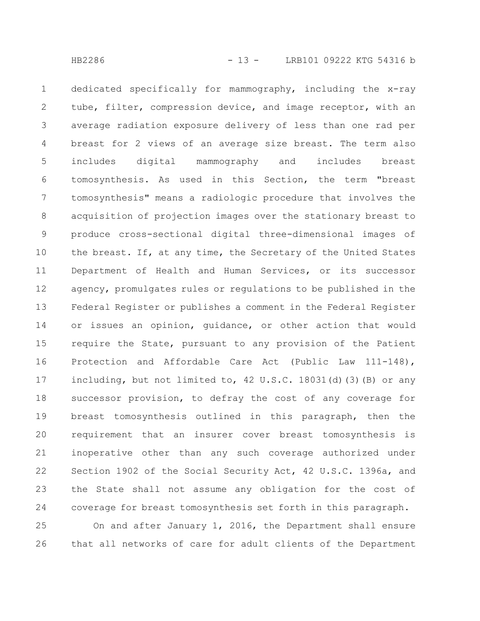dedicated specifically for mammography, including the x-ray tube, filter, compression device, and image receptor, with an average radiation exposure delivery of less than one rad per breast for 2 views of an average size breast. The term also includes digital mammography and includes breast tomosynthesis. As used in this Section, the term "breast tomosynthesis" means a radiologic procedure that involves the acquisition of projection images over the stationary breast to produce cross-sectional digital three-dimensional images of the breast. If, at any time, the Secretary of the United States Department of Health and Human Services, or its successor agency, promulgates rules or regulations to be published in the Federal Register or publishes a comment in the Federal Register or issues an opinion, guidance, or other action that would require the State, pursuant to any provision of the Patient Protection and Affordable Care Act (Public Law 111-148), including, but not limited to, 42 U.S.C. 18031(d)(3)(B) or any successor provision, to defray the cost of any coverage for breast tomosynthesis outlined in this paragraph, then the requirement that an insurer cover breast tomosynthesis is inoperative other than any such coverage authorized under Section 1902 of the Social Security Act, 42 U.S.C. 1396a, and the State shall not assume any obligation for the cost of coverage for breast tomosynthesis set forth in this paragraph. 1 2 3 4 5 6 7 8 9 10 11 12 13 14 15 16 17 18 19 20 21 22 23 24

On and after January 1, 2016, the Department shall ensure that all networks of care for adult clients of the Department 25 26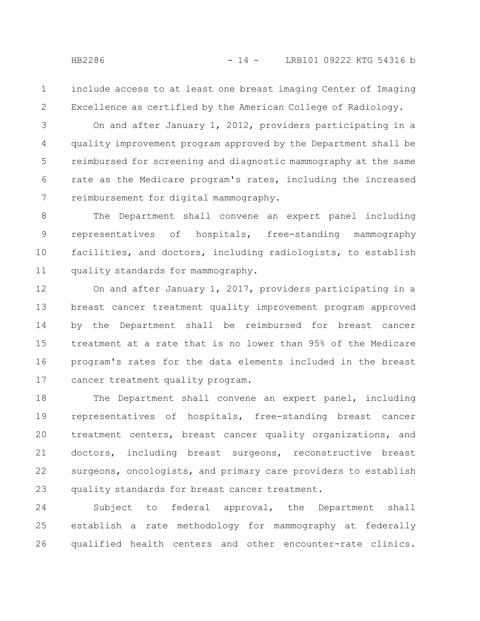include access to at least one breast imaging Center of Imaging Excellence as certified by the American College of Radiology. 1 2

On and after January 1, 2012, providers participating in a quality improvement program approved by the Department shall be reimbursed for screening and diagnostic mammography at the same rate as the Medicare program's rates, including the increased reimbursement for digital mammography. 3 4 5 6 7

The Department shall convene an expert panel including representatives of hospitals, free-standing mammography facilities, and doctors, including radiologists, to establish quality standards for mammography. 8 9 10 11

On and after January 1, 2017, providers participating in a breast cancer treatment quality improvement program approved by the Department shall be reimbursed for breast cancer treatment at a rate that is no lower than 95% of the Medicare program's rates for the data elements included in the breast cancer treatment quality program. 12 13 14 15 16 17

The Department shall convene an expert panel, including representatives of hospitals, free-standing breast cancer treatment centers, breast cancer quality organizations, and doctors, including breast surgeons, reconstructive breast surgeons, oncologists, and primary care providers to establish quality standards for breast cancer treatment. 18 19 20 21 22 23

Subject to federal approval, the Department shall establish a rate methodology for mammography at federally qualified health centers and other encounter-rate clinics. 24 25 26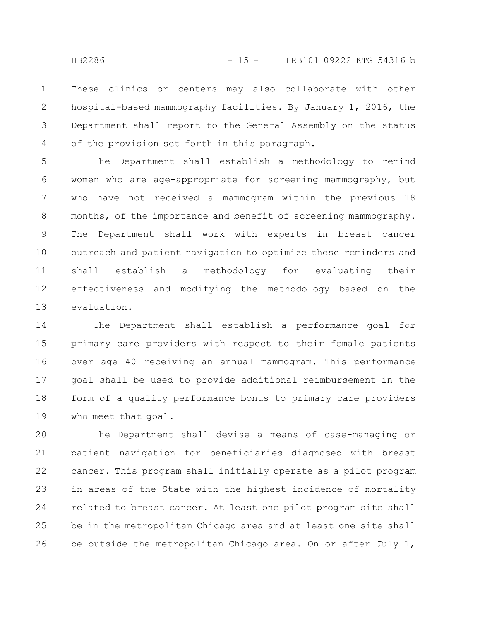These clinics or centers may also collaborate with other hospital-based mammography facilities. By January 1, 2016, the Department shall report to the General Assembly on the status of the provision set forth in this paragraph. 1 2 3 4

The Department shall establish a methodology to remind women who are age-appropriate for screening mammography, but who have not received a mammogram within the previous 18 months, of the importance and benefit of screening mammography. The Department shall work with experts in breast cancer outreach and patient navigation to optimize these reminders and shall establish a methodology for evaluating their effectiveness and modifying the methodology based on the evaluation. 5 6 7 8 9 10 11 12 13

The Department shall establish a performance goal for primary care providers with respect to their female patients over age 40 receiving an annual mammogram. This performance goal shall be used to provide additional reimbursement in the form of a quality performance bonus to primary care providers who meet that goal. 14 15 16 17 18 19

The Department shall devise a means of case-managing or patient navigation for beneficiaries diagnosed with breast cancer. This program shall initially operate as a pilot program in areas of the State with the highest incidence of mortality related to breast cancer. At least one pilot program site shall be in the metropolitan Chicago area and at least one site shall be outside the metropolitan Chicago area. On or after July 1, 20 21 22 23 24 25 26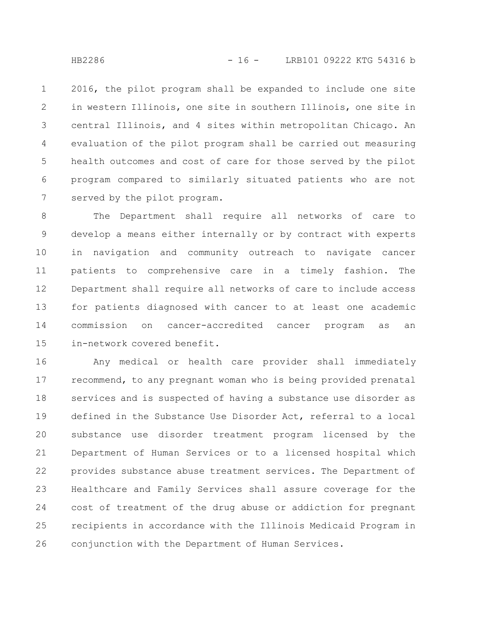2016, the pilot program shall be expanded to include one site in western Illinois, one site in southern Illinois, one site in central Illinois, and 4 sites within metropolitan Chicago. An evaluation of the pilot program shall be carried out measuring health outcomes and cost of care for those served by the pilot program compared to similarly situated patients who are not served by the pilot program. 1 2 3 4 5 6 7

The Department shall require all networks of care to develop a means either internally or by contract with experts in navigation and community outreach to navigate cancer patients to comprehensive care in a timely fashion. The Department shall require all networks of care to include access for patients diagnosed with cancer to at least one academic commission on cancer-accredited cancer program as an in-network covered benefit. 8 9 10 11 12 13 14 15

Any medical or health care provider shall immediately recommend, to any pregnant woman who is being provided prenatal services and is suspected of having a substance use disorder as defined in the Substance Use Disorder Act, referral to a local substance use disorder treatment program licensed by the Department of Human Services or to a licensed hospital which provides substance abuse treatment services. The Department of Healthcare and Family Services shall assure coverage for the cost of treatment of the drug abuse or addiction for pregnant recipients in accordance with the Illinois Medicaid Program in conjunction with the Department of Human Services. 16 17 18 19 20 21 22 23 24 25 26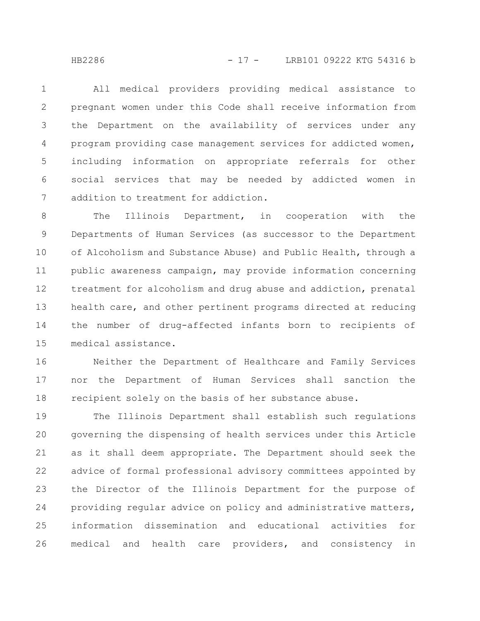All medical providers providing medical assistance to pregnant women under this Code shall receive information from the Department on the availability of services under any program providing case management services for addicted women, including information on appropriate referrals for other social services that may be needed by addicted women in addition to treatment for addiction. 1 2 3 4 5 6 7

The Illinois Department, in cooperation with the Departments of Human Services (as successor to the Department of Alcoholism and Substance Abuse) and Public Health, through a public awareness campaign, may provide information concerning treatment for alcoholism and drug abuse and addiction, prenatal health care, and other pertinent programs directed at reducing the number of drug-affected infants born to recipients of medical assistance. 8 9 10 11 12 13 14 15

Neither the Department of Healthcare and Family Services nor the Department of Human Services shall sanction the recipient solely on the basis of her substance abuse. 16 17 18

The Illinois Department shall establish such regulations governing the dispensing of health services under this Article as it shall deem appropriate. The Department should seek the advice of formal professional advisory committees appointed by the Director of the Illinois Department for the purpose of providing regular advice on policy and administrative matters, information dissemination and educational activities for medical and health care providers, and consistency in 19 20 21 22 23 24 25 26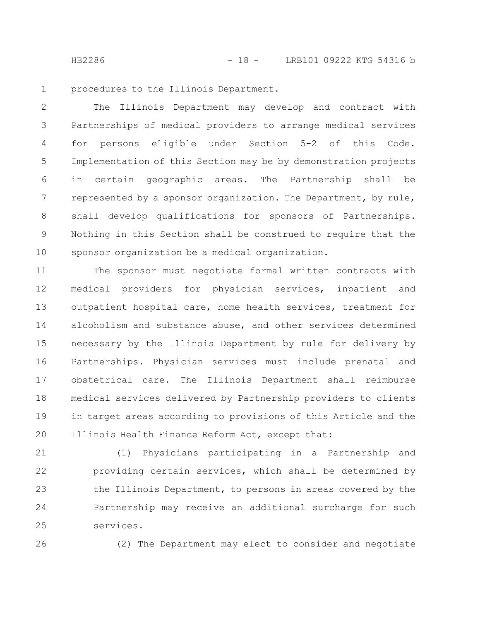HB2286 - 18 - LRB101 09222 KTG 54316 b

procedures to the Illinois Department. 1

The Illinois Department may develop and contract with Partnerships of medical providers to arrange medical services for persons eligible under Section 5-2 of this Code. Implementation of this Section may be by demonstration projects in certain geographic areas. The Partnership shall be represented by a sponsor organization. The Department, by rule, shall develop qualifications for sponsors of Partnerships. Nothing in this Section shall be construed to require that the sponsor organization be a medical organization. 2 3 4 5 6 7 8 9 10

The sponsor must negotiate formal written contracts with medical providers for physician services, inpatient and outpatient hospital care, home health services, treatment for alcoholism and substance abuse, and other services determined necessary by the Illinois Department by rule for delivery by Partnerships. Physician services must include prenatal and obstetrical care. The Illinois Department shall reimburse medical services delivered by Partnership providers to clients in target areas according to provisions of this Article and the Illinois Health Finance Reform Act, except that: 11 12 13 14 15 16 17 18 19 20

(1) Physicians participating in a Partnership and providing certain services, which shall be determined by the Illinois Department, to persons in areas covered by the Partnership may receive an additional surcharge for such services. 21 22 23 24 25

26

(2) The Department may elect to consider and negotiate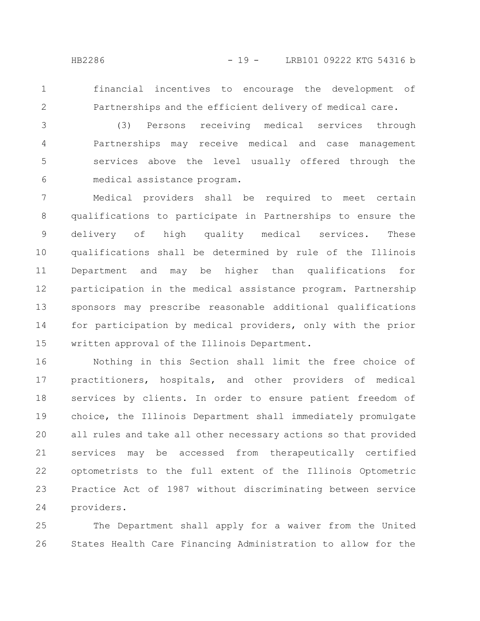1 2 financial incentives to encourage the development of Partnerships and the efficient delivery of medical care.

(3) Persons receiving medical services through Partnerships may receive medical and case management services above the level usually offered through the medical assistance program. 3 4 5 6

Medical providers shall be required to meet certain qualifications to participate in Partnerships to ensure the delivery of high quality medical services. These qualifications shall be determined by rule of the Illinois Department and may be higher than qualifications for participation in the medical assistance program. Partnership sponsors may prescribe reasonable additional qualifications for participation by medical providers, only with the prior written approval of the Illinois Department. 7 8 9 10 11 12 13 14 15

Nothing in this Section shall limit the free choice of practitioners, hospitals, and other providers of medical services by clients. In order to ensure patient freedom of choice, the Illinois Department shall immediately promulgate all rules and take all other necessary actions so that provided services may be accessed from therapeutically certified optometrists to the full extent of the Illinois Optometric Practice Act of 1987 without discriminating between service providers. 16 17 18 19 20 21 22 23 24

The Department shall apply for a waiver from the United States Health Care Financing Administration to allow for the 25 26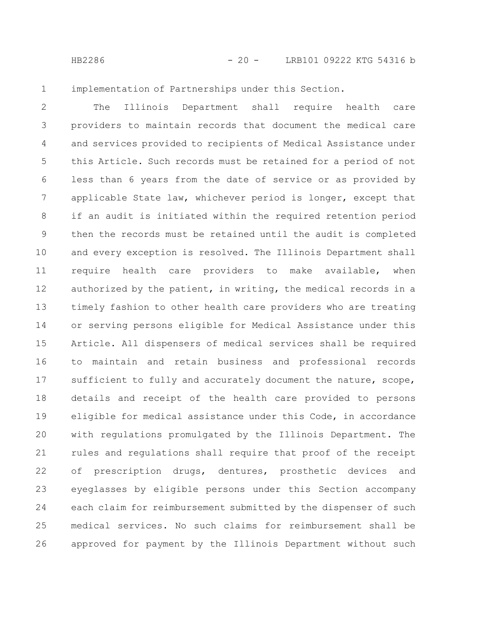1

implementation of Partnerships under this Section.

The Illinois Department shall require health care providers to maintain records that document the medical care and services provided to recipients of Medical Assistance under this Article. Such records must be retained for a period of not less than 6 years from the date of service or as provided by applicable State law, whichever period is longer, except that if an audit is initiated within the required retention period then the records must be retained until the audit is completed and every exception is resolved. The Illinois Department shall require health care providers to make available, when authorized by the patient, in writing, the medical records in a timely fashion to other health care providers who are treating or serving persons eligible for Medical Assistance under this Article. All dispensers of medical services shall be required to maintain and retain business and professional records sufficient to fully and accurately document the nature, scope, details and receipt of the health care provided to persons eligible for medical assistance under this Code, in accordance with regulations promulgated by the Illinois Department. The rules and regulations shall require that proof of the receipt of prescription drugs, dentures, prosthetic devices and eyeglasses by eligible persons under this Section accompany each claim for reimbursement submitted by the dispenser of such medical services. No such claims for reimbursement shall be approved for payment by the Illinois Department without such 2 3 4 5 6 7 8 9 10 11 12 13 14 15 16 17 18 19 20 21 22 23 24 25 26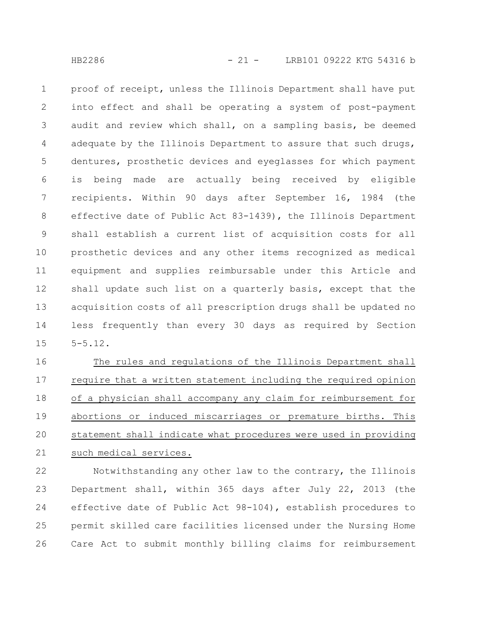proof of receipt, unless the Illinois Department shall have put into effect and shall be operating a system of post-payment audit and review which shall, on a sampling basis, be deemed adequate by the Illinois Department to assure that such drugs, dentures, prosthetic devices and eyeglasses for which payment is being made are actually being received by eligible recipients. Within 90 days after September 16, 1984 (the effective date of Public Act 83-1439), the Illinois Department shall establish a current list of acquisition costs for all prosthetic devices and any other items recognized as medical equipment and supplies reimbursable under this Article and shall update such list on a quarterly basis, except that the acquisition costs of all prescription drugs shall be updated no less frequently than every 30 days as required by Section 5-5.12. 1 2 3 4 5 6 7 8 9 10 11 12 13 14 15

The rules and regulations of the Illinois Department shall require that a written statement including the required opinion of a physician shall accompany any claim for reimbursement for abortions or induced miscarriages or premature births. This statement shall indicate what procedures were used in providing such medical services. 16 17 18 19 20 21

Notwithstanding any other law to the contrary, the Illinois Department shall, within 365 days after July 22, 2013 (the effective date of Public Act 98-104), establish procedures to permit skilled care facilities licensed under the Nursing Home Care Act to submit monthly billing claims for reimbursement 22 23 24 25 26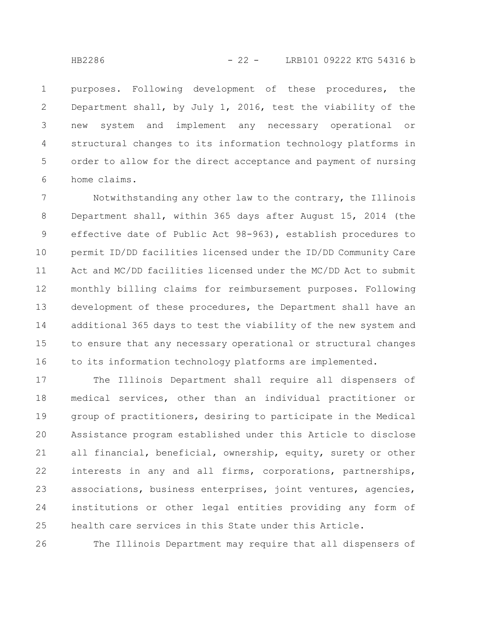purposes. Following development of these procedures, the Department shall, by July 1, 2016, test the viability of the new system and implement any necessary operational or structural changes to its information technology platforms in order to allow for the direct acceptance and payment of nursing home claims. 1 2 3 4 5 6

Notwithstanding any other law to the contrary, the Illinois Department shall, within 365 days after August 15, 2014 (the effective date of Public Act 98-963), establish procedures to permit ID/DD facilities licensed under the ID/DD Community Care Act and MC/DD facilities licensed under the MC/DD Act to submit monthly billing claims for reimbursement purposes. Following development of these procedures, the Department shall have an additional 365 days to test the viability of the new system and to ensure that any necessary operational or structural changes to its information technology platforms are implemented. 7 8 9 10 11 12 13 14 15 16

The Illinois Department shall require all dispensers of medical services, other than an individual practitioner or group of practitioners, desiring to participate in the Medical Assistance program established under this Article to disclose all financial, beneficial, ownership, equity, surety or other interests in any and all firms, corporations, partnerships, associations, business enterprises, joint ventures, agencies, institutions or other legal entities providing any form of health care services in this State under this Article. 17 18 19 20 21 22 23 24 25

The Illinois Department may require that all dispensers of 26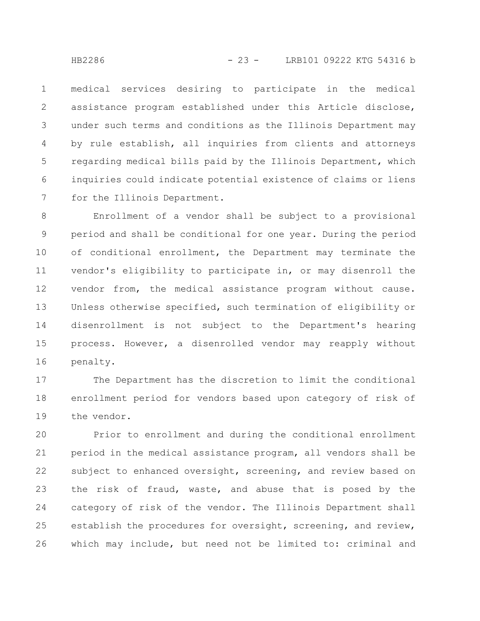medical services desiring to participate in the medical assistance program established under this Article disclose, under such terms and conditions as the Illinois Department may by rule establish, all inquiries from clients and attorneys regarding medical bills paid by the Illinois Department, which inquiries could indicate potential existence of claims or liens for the Illinois Department. 1 2 3 4 5 6 7

Enrollment of a vendor shall be subject to a provisional period and shall be conditional for one year. During the period of conditional enrollment, the Department may terminate the vendor's eligibility to participate in, or may disenroll the vendor from, the medical assistance program without cause. Unless otherwise specified, such termination of eligibility or disenrollment is not subject to the Department's hearing process. However, a disenrolled vendor may reapply without penalty. 8 9 10 11 12 13 14 15 16

The Department has the discretion to limit the conditional enrollment period for vendors based upon category of risk of the vendor. 17 18 19

Prior to enrollment and during the conditional enrollment period in the medical assistance program, all vendors shall be subject to enhanced oversight, screening, and review based on the risk of fraud, waste, and abuse that is posed by the category of risk of the vendor. The Illinois Department shall establish the procedures for oversight, screening, and review, which may include, but need not be limited to: criminal and 20 21 22 23 24 25 26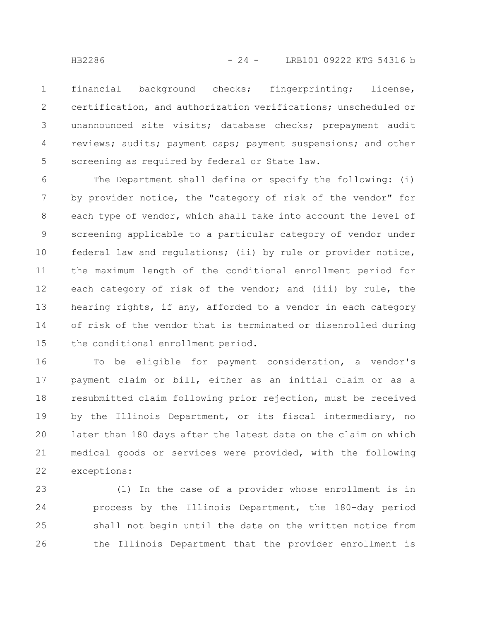financial background checks; fingerprinting; license, certification, and authorization verifications; unscheduled or unannounced site visits; database checks; prepayment audit reviews; audits; payment caps; payment suspensions; and other screening as required by federal or State law. 1 2 3 4 5

The Department shall define or specify the following: (i) by provider notice, the "category of risk of the vendor" for each type of vendor, which shall take into account the level of screening applicable to a particular category of vendor under federal law and regulations; (ii) by rule or provider notice, the maximum length of the conditional enrollment period for each category of risk of the vendor; and (iii) by rule, the hearing rights, if any, afforded to a vendor in each category of risk of the vendor that is terminated or disenrolled during the conditional enrollment period. 6 7 8 9 10 11 12 13 14 15

To be eligible for payment consideration, a vendor's payment claim or bill, either as an initial claim or as a resubmitted claim following prior rejection, must be received by the Illinois Department, or its fiscal intermediary, no later than 180 days after the latest date on the claim on which medical goods or services were provided, with the following exceptions: 16 17 18 19 20 21 22

(1) In the case of a provider whose enrollment is in process by the Illinois Department, the 180-day period shall not begin until the date on the written notice from the Illinois Department that the provider enrollment is 23 24 25 26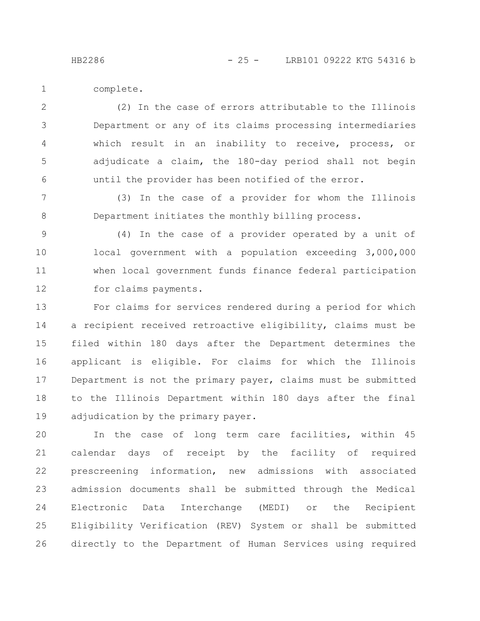complete. 1

(2) In the case of errors attributable to the Illinois Department or any of its claims processing intermediaries which result in an inability to receive, process, or adjudicate a claim, the 180-day period shall not begin until the provider has been notified of the error. 2 3 4 5 6

(3) In the case of a provider for whom the Illinois Department initiates the monthly billing process. 7 8

(4) In the case of a provider operated by a unit of local government with a population exceeding 3,000,000 when local government funds finance federal participation for claims payments. 9 10 11 12

For claims for services rendered during a period for which a recipient received retroactive eligibility, claims must be filed within 180 days after the Department determines the applicant is eligible. For claims for which the Illinois Department is not the primary payer, claims must be submitted to the Illinois Department within 180 days after the final adjudication by the primary payer. 13 14 15 16 17 18 19

In the case of long term care facilities, within 45 calendar days of receipt by the facility of required prescreening information, new admissions with associated admission documents shall be submitted through the Medical Electronic Data Interchange (MEDI) or the Recipient Eligibility Verification (REV) System or shall be submitted directly to the Department of Human Services using required 20 21 22 23 24 25 26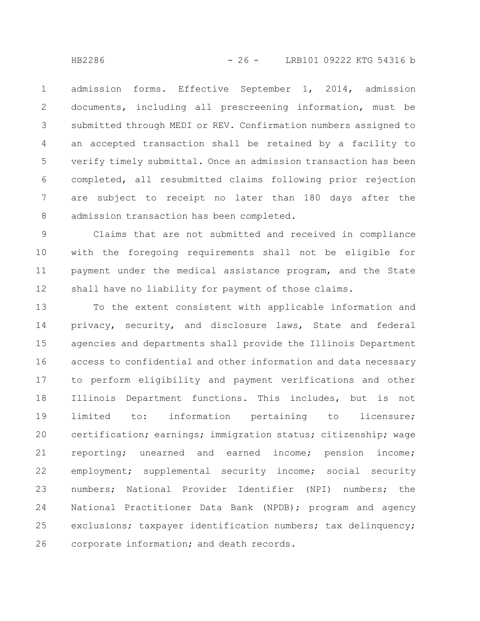admission forms. Effective September 1, 2014, admission documents, including all prescreening information, must be submitted through MEDI or REV. Confirmation numbers assigned to an accepted transaction shall be retained by a facility to verify timely submittal. Once an admission transaction has been completed, all resubmitted claims following prior rejection are subject to receipt no later than 180 days after the admission transaction has been completed. 1 2 3 4 5 6 7 8

Claims that are not submitted and received in compliance with the foregoing requirements shall not be eligible for payment under the medical assistance program, and the State shall have no liability for payment of those claims. 9 10 11 12

To the extent consistent with applicable information and privacy, security, and disclosure laws, State and federal agencies and departments shall provide the Illinois Department access to confidential and other information and data necessary to perform eligibility and payment verifications and other Illinois Department functions. This includes, but is not limited to: information pertaining to licensure; certification; earnings; immigration status; citizenship; wage reporting; unearned and earned income; pension income; employment; supplemental security income; social security numbers; National Provider Identifier (NPI) numbers; the National Practitioner Data Bank (NPDB); program and agency exclusions; taxpayer identification numbers; tax delinquency; corporate information; and death records. 13 14 15 16 17 18 19 20 21 22 23 24 25 26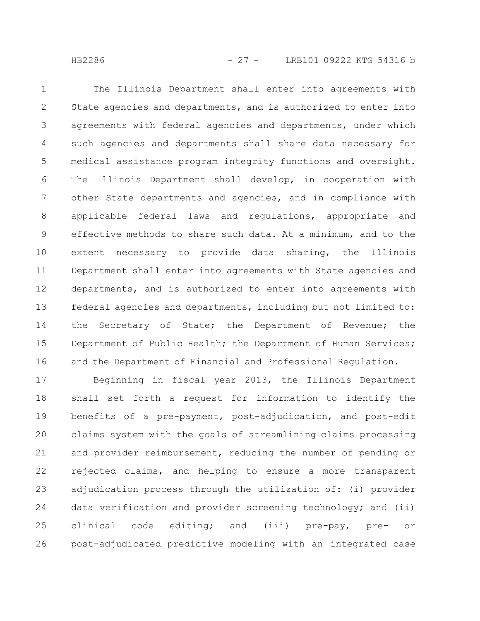The Illinois Department shall enter into agreements with State agencies and departments, and is authorized to enter into agreements with federal agencies and departments, under which such agencies and departments shall share data necessary for medical assistance program integrity functions and oversight. The Illinois Department shall develop, in cooperation with other State departments and agencies, and in compliance with applicable federal laws and regulations, appropriate and effective methods to share such data. At a minimum, and to the extent necessary to provide data sharing, the Illinois Department shall enter into agreements with State agencies and departments, and is authorized to enter into agreements with federal agencies and departments, including but not limited to: the Secretary of State; the Department of Revenue; the Department of Public Health; the Department of Human Services; and the Department of Financial and Professional Regulation. 1 2 3 4 5 6 7 8 9 10 11 12 13 14 15 16

Beginning in fiscal year 2013, the Illinois Department shall set forth a request for information to identify the benefits of a pre-payment, post-adjudication, and post-edit claims system with the goals of streamlining claims processing and provider reimbursement, reducing the number of pending or rejected claims, and helping to ensure a more transparent adjudication process through the utilization of: (i) provider data verification and provider screening technology; and (ii) clinical code editing; and (iii) pre-pay, pre- or post-adjudicated predictive modeling with an integrated case 17 18 19 20 21 22 23 24 25 26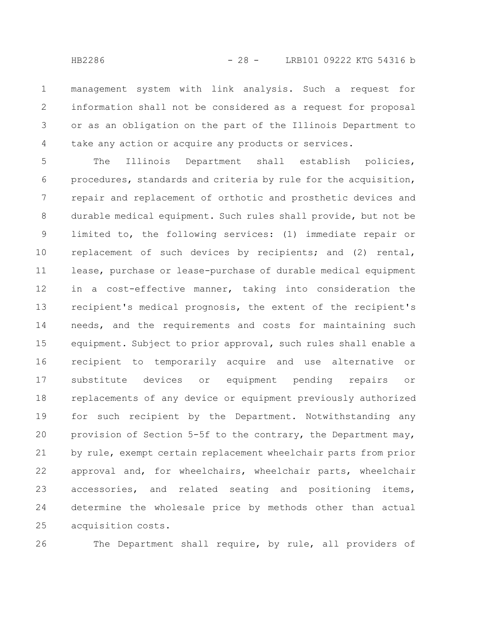management system with link analysis. Such a request for information shall not be considered as a request for proposal or as an obligation on the part of the Illinois Department to take any action or acquire any products or services. 1 2 3 4

The Illinois Department shall establish policies, procedures, standards and criteria by rule for the acquisition, repair and replacement of orthotic and prosthetic devices and durable medical equipment. Such rules shall provide, but not be limited to, the following services: (1) immediate repair or replacement of such devices by recipients; and (2) rental, lease, purchase or lease-purchase of durable medical equipment in a cost-effective manner, taking into consideration the recipient's medical prognosis, the extent of the recipient's needs, and the requirements and costs for maintaining such equipment. Subject to prior approval, such rules shall enable a recipient to temporarily acquire and use alternative or substitute devices or equipment pending repairs or replacements of any device or equipment previously authorized for such recipient by the Department. Notwithstanding any provision of Section 5-5f to the contrary, the Department may, by rule, exempt certain replacement wheelchair parts from prior approval and, for wheelchairs, wheelchair parts, wheelchair accessories, and related seating and positioning items, determine the wholesale price by methods other than actual acquisition costs. 5 6 7 8 9 10 11 12 13 14 15 16 17 18 19 20 21 22 23 24 25

26

The Department shall require, by rule, all providers of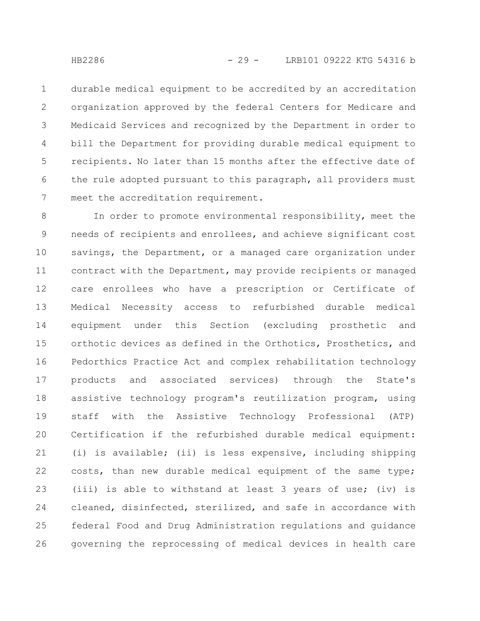durable medical equipment to be accredited by an accreditation organization approved by the federal Centers for Medicare and Medicaid Services and recognized by the Department in order to bill the Department for providing durable medical equipment to recipients. No later than 15 months after the effective date of the rule adopted pursuant to this paragraph, all providers must meet the accreditation requirement. 1 2 3 4 5 6 7

In order to promote environmental responsibility, meet the needs of recipients and enrollees, and achieve significant cost savings, the Department, or a managed care organization under contract with the Department, may provide recipients or managed care enrollees who have a prescription or Certificate of Medical Necessity access to refurbished durable medical equipment under this Section (excluding prosthetic and orthotic devices as defined in the Orthotics, Prosthetics, and Pedorthics Practice Act and complex rehabilitation technology products and associated services) through the State's assistive technology program's reutilization program, using staff with the Assistive Technology Professional (ATP) Certification if the refurbished durable medical equipment: (i) is available; (ii) is less expensive, including shipping costs, than new durable medical equipment of the same type; (iii) is able to withstand at least 3 years of use; (iv) is cleaned, disinfected, sterilized, and safe in accordance with federal Food and Drug Administration regulations and guidance governing the reprocessing of medical devices in health care 8 9 10 11 12 13 14 15 16 17 18 19 20 21 22 23 24 25 26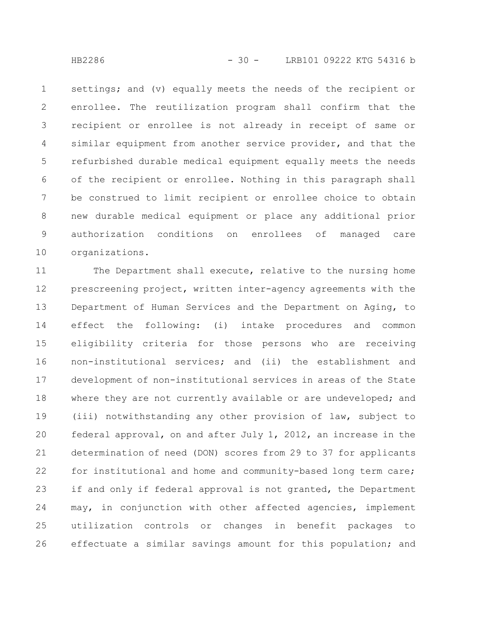settings; and (v) equally meets the needs of the recipient or enrollee. The reutilization program shall confirm that the recipient or enrollee is not already in receipt of same or similar equipment from another service provider, and that the refurbished durable medical equipment equally meets the needs of the recipient or enrollee. Nothing in this paragraph shall be construed to limit recipient or enrollee choice to obtain new durable medical equipment or place any additional prior authorization conditions on enrollees of managed care organizations. 1 2 3 4 5 6 7 8 9 10

The Department shall execute, relative to the nursing home prescreening project, written inter-agency agreements with the Department of Human Services and the Department on Aging, to effect the following: (i) intake procedures and common eligibility criteria for those persons who are receiving non-institutional services; and (ii) the establishment and development of non-institutional services in areas of the State where they are not currently available or are undeveloped; and (iii) notwithstanding any other provision of law, subject to federal approval, on and after July 1, 2012, an increase in the determination of need (DON) scores from 29 to 37 for applicants for institutional and home and community-based long term care; if and only if federal approval is not granted, the Department may, in conjunction with other affected agencies, implement utilization controls or changes in benefit packages to effectuate a similar savings amount for this population; and 11 12 13 14 15 16 17 18 19 20 21 22 23 24 25 26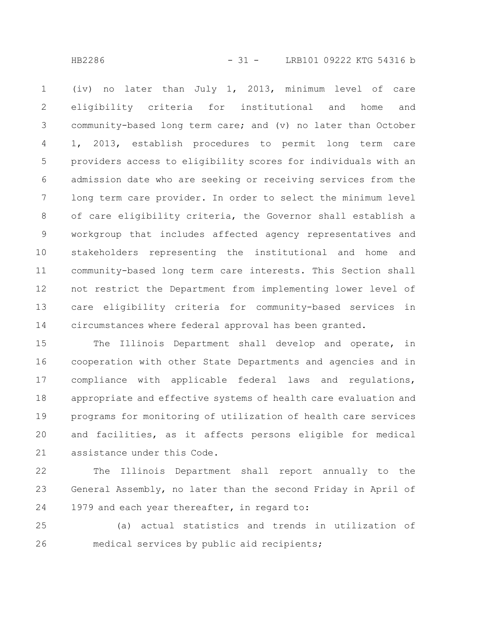(iv) no later than July 1, 2013, minimum level of care eligibility criteria for institutional and home and community-based long term care; and (v) no later than October 1, 2013, establish procedures to permit long term care providers access to eligibility scores for individuals with an admission date who are seeking or receiving services from the long term care provider. In order to select the minimum level of care eligibility criteria, the Governor shall establish a workgroup that includes affected agency representatives and stakeholders representing the institutional and home and community-based long term care interests. This Section shall not restrict the Department from implementing lower level of care eligibility criteria for community-based services in circumstances where federal approval has been granted. 1 2 3 4 5 6 7 8 9 10 11 12 13 14

The Illinois Department shall develop and operate, in cooperation with other State Departments and agencies and in compliance with applicable federal laws and regulations, appropriate and effective systems of health care evaluation and programs for monitoring of utilization of health care services and facilities, as it affects persons eligible for medical assistance under this Code. 15 16 17 18 19 20 21

The Illinois Department shall report annually to the General Assembly, no later than the second Friday in April of 1979 and each year thereafter, in regard to: 22 23 24

(a) actual statistics and trends in utilization of medical services by public aid recipients; 25 26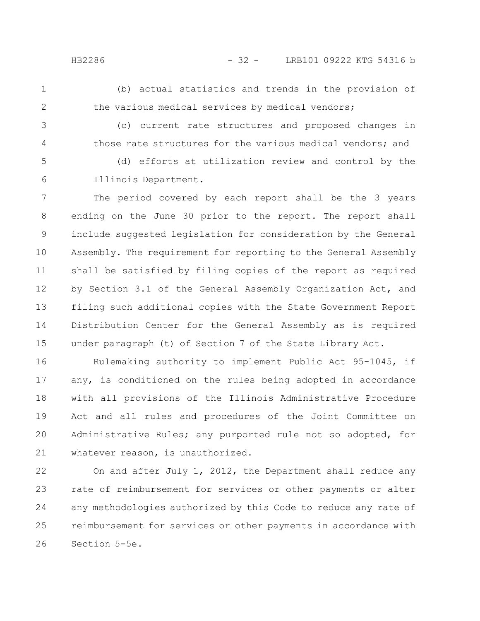- 
- (b) actual statistics and trends in the provision of the various medical services by medical vendors;
- 3

4

1

2

(c) current rate structures and proposed changes in those rate structures for the various medical vendors; and

(d) efforts at utilization review and control by the Illinois Department. 5 6

The period covered by each report shall be the 3 years ending on the June 30 prior to the report. The report shall include suggested legislation for consideration by the General Assembly. The requirement for reporting to the General Assembly shall be satisfied by filing copies of the report as required by Section 3.1 of the General Assembly Organization Act, and filing such additional copies with the State Government Report Distribution Center for the General Assembly as is required under paragraph (t) of Section 7 of the State Library Act. 7 8 9 10 11 12 13 14 15

Rulemaking authority to implement Public Act 95-1045, if any, is conditioned on the rules being adopted in accordance with all provisions of the Illinois Administrative Procedure Act and all rules and procedures of the Joint Committee on Administrative Rules; any purported rule not so adopted, for whatever reason, is unauthorized. 16 17 18 19 20 21

On and after July 1, 2012, the Department shall reduce any rate of reimbursement for services or other payments or alter any methodologies authorized by this Code to reduce any rate of reimbursement for services or other payments in accordance with Section 5-5e. 22 23 24 25 26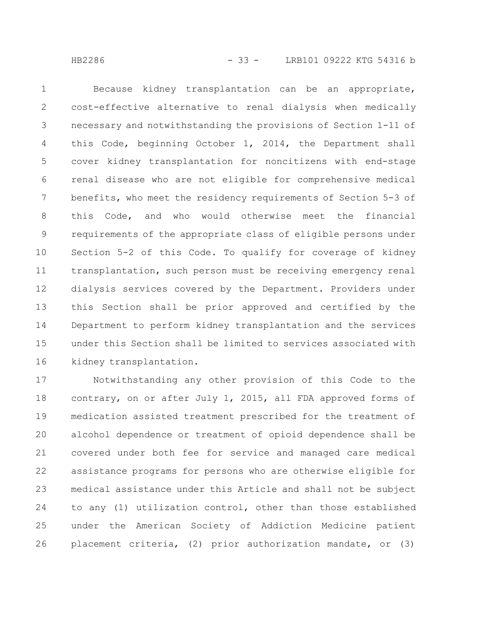Because kidney transplantation can be an appropriate, cost-effective alternative to renal dialysis when medically necessary and notwithstanding the provisions of Section 1-11 of this Code, beginning October 1, 2014, the Department shall cover kidney transplantation for noncitizens with end-stage renal disease who are not eligible for comprehensive medical benefits, who meet the residency requirements of Section 5-3 of this Code, and who would otherwise meet the financial requirements of the appropriate class of eligible persons under Section 5-2 of this Code. To qualify for coverage of kidney transplantation, such person must be receiving emergency renal dialysis services covered by the Department. Providers under this Section shall be prior approved and certified by the Department to perform kidney transplantation and the services under this Section shall be limited to services associated with kidney transplantation. 1 2 3 4 5 6 7 8 9 10 11 12 13 14 15 16

Notwithstanding any other provision of this Code to the contrary, on or after July 1, 2015, all FDA approved forms of medication assisted treatment prescribed for the treatment of alcohol dependence or treatment of opioid dependence shall be covered under both fee for service and managed care medical assistance programs for persons who are otherwise eligible for medical assistance under this Article and shall not be subject to any (1) utilization control, other than those established under the American Society of Addiction Medicine patient placement criteria, (2) prior authorization mandate, or (3) 17 18 19 20 21 22 23 24 25 26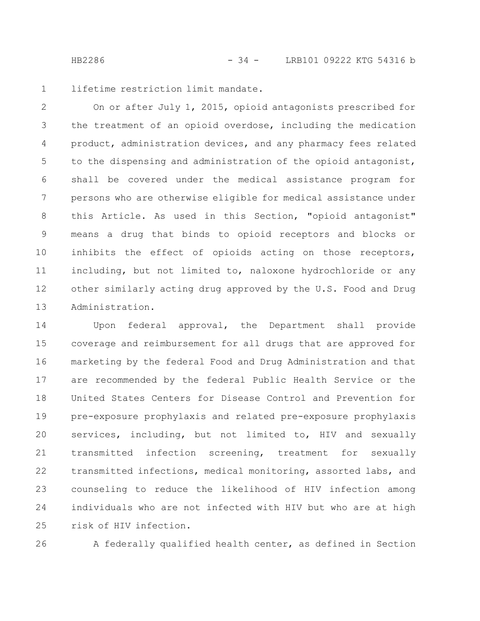lifetime restriction limit mandate. 1

On or after July 1, 2015, opioid antagonists prescribed for the treatment of an opioid overdose, including the medication product, administration devices, and any pharmacy fees related to the dispensing and administration of the opioid antagonist, shall be covered under the medical assistance program for persons who are otherwise eligible for medical assistance under this Article. As used in this Section, "opioid antagonist" means a drug that binds to opioid receptors and blocks or inhibits the effect of opioids acting on those receptors, including, but not limited to, naloxone hydrochloride or any other similarly acting drug approved by the U.S. Food and Drug Administration. 2 3 4 5 6 7 8 9 10 11 12 13

Upon federal approval, the Department shall provide coverage and reimbursement for all drugs that are approved for marketing by the federal Food and Drug Administration and that are recommended by the federal Public Health Service or the United States Centers for Disease Control and Prevention for pre-exposure prophylaxis and related pre-exposure prophylaxis services, including, but not limited to, HIV and sexually transmitted infection screening, treatment for sexually transmitted infections, medical monitoring, assorted labs, and counseling to reduce the likelihood of HIV infection among individuals who are not infected with HIV but who are at high risk of HIV infection. 14 15 16 17 18 19 20 21 22 23 24 25

26

A federally qualified health center, as defined in Section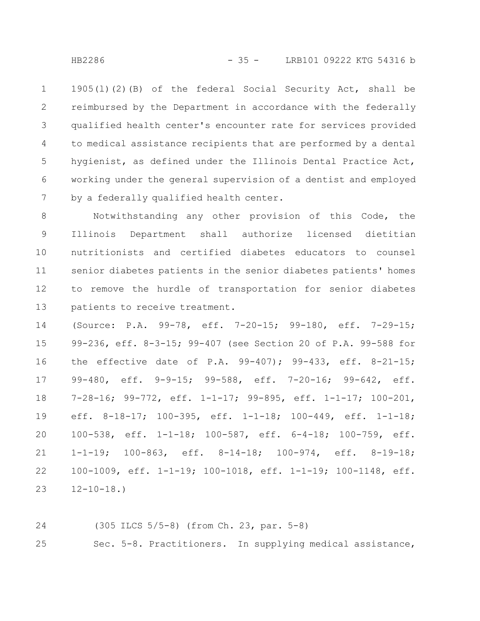1905(l)(2)(B) of the federal Social Security Act, shall be reimbursed by the Department in accordance with the federally qualified health center's encounter rate for services provided to medical assistance recipients that are performed by a dental hygienist, as defined under the Illinois Dental Practice Act, working under the general supervision of a dentist and employed by a federally qualified health center. 1 2 3 4 5 6 7

Notwithstanding any other provision of this Code, the Illinois Department shall authorize licensed dietitian nutritionists and certified diabetes educators to counsel senior diabetes patients in the senior diabetes patients' homes to remove the hurdle of transportation for senior diabetes patients to receive treatment. 8 9 10 11 12 13

(Source: P.A. 99-78, eff. 7-20-15; 99-180, eff. 7-29-15; 99-236, eff. 8-3-15; 99-407 (see Section 20 of P.A. 99-588 for the effective date of P.A. 99-407); 99-433, eff. 8-21-15; 99-480, eff. 9-9-15; 99-588, eff. 7-20-16; 99-642, eff. 7-28-16; 99-772, eff. 1-1-17; 99-895, eff. 1-1-17; 100-201, eff. 8-18-17; 100-395, eff. 1-1-18; 100-449, eff. 1-1-18; 100-538, eff. 1-1-18; 100-587, eff. 6-4-18; 100-759, eff. 1-1-19; 100-863, eff. 8-14-18; 100-974, eff. 8-19-18; 100-1009, eff. 1-1-19; 100-1018, eff. 1-1-19; 100-1148, eff.  $12 - 10 - 18.$ 14 15 16 17 18 19 20 21 22 23

(305 ILCS 5/5-8) (from Ch. 23, par. 5-8) 24

Sec. 5-8. Practitioners. In supplying medical assistance, 25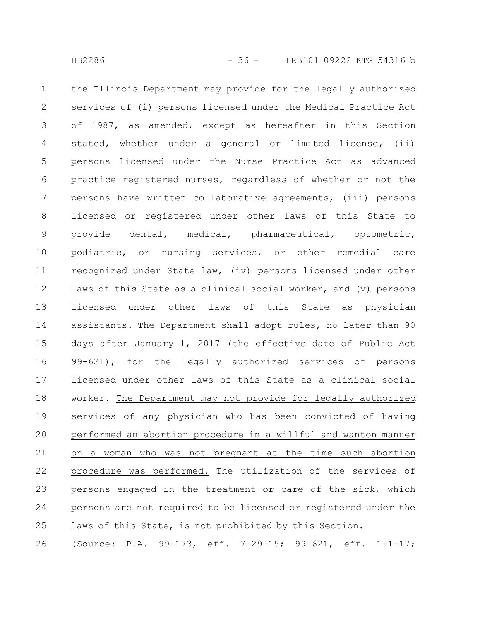the Illinois Department may provide for the legally authorized services of (i) persons licensed under the Medical Practice Act of 1987, as amended, except as hereafter in this Section stated, whether under a general or limited license, (ii) persons licensed under the Nurse Practice Act as advanced practice registered nurses, regardless of whether or not the persons have written collaborative agreements, (iii) persons licensed or registered under other laws of this State to provide dental, medical, pharmaceutical, optometric, podiatric, or nursing services, or other remedial care recognized under State law, (iv) persons licensed under other laws of this State as a clinical social worker, and (v) persons licensed under other laws of this State as physician assistants. The Department shall adopt rules, no later than 90 days after January 1, 2017 (the effective date of Public Act 99-621), for the legally authorized services of persons licensed under other laws of this State as a clinical social worker. The Department may not provide for legally authorized services of any physician who has been convicted of having performed an abortion procedure in a willful and wanton manner on a woman who was not pregnant at the time such abortion procedure was performed. The utilization of the services of persons engaged in the treatment or care of the sick, which persons are not required to be licensed or registered under the 1 2 3 4 5 6 7 8 9 10 11 12 13 14 15 16 17 18 19 20 21 22 23 24

laws of this State, is not prohibited by this Section. 25

(Source: P.A. 99-173, eff. 7-29-15; 99-621, eff. 1-1-17; 26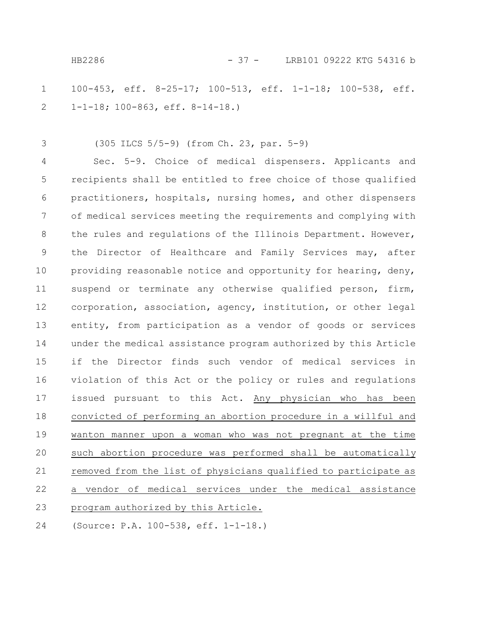100-453, eff. 8-25-17; 100-513, eff. 1-1-18; 100-538, eff. 1-1-18; 100-863, eff. 8-14-18.) 1 2

(305 ILCS 5/5-9) (from Ch. 23, par. 5-9) 3

Sec. 5-9. Choice of medical dispensers. Applicants and recipients shall be entitled to free choice of those qualified practitioners, hospitals, nursing homes, and other dispensers of medical services meeting the requirements and complying with the rules and regulations of the Illinois Department. However, the Director of Healthcare and Family Services may, after providing reasonable notice and opportunity for hearing, deny, suspend or terminate any otherwise qualified person, firm, corporation, association, agency, institution, or other legal entity, from participation as a vendor of goods or services under the medical assistance program authorized by this Article if the Director finds such vendor of medical services in violation of this Act or the policy or rules and regulations issued pursuant to this Act. Any physician who has been convicted of performing an abortion procedure in a willful and wanton manner upon a woman who was not pregnant at the time such abortion procedure was performed shall be automatically removed from the list of physicians qualified to participate as a vendor of medical services under the medical assistance program authorized by this Article. (Source: P.A. 100-538, eff. 1-1-18.) 4 5 6 7 8 9 10 11 12 13 14 15 16 17 18 19 20 21 22 23 24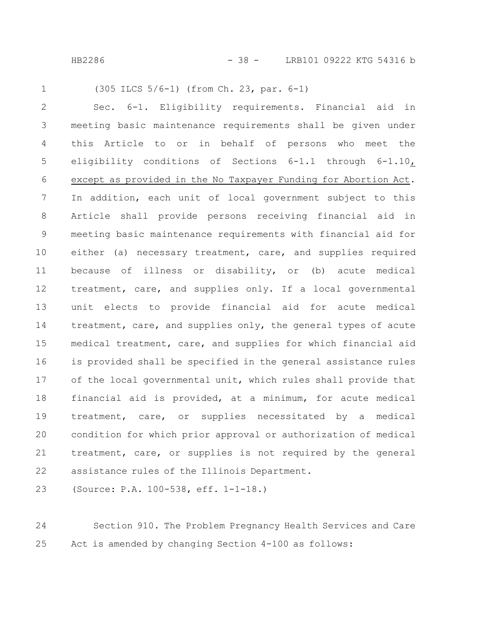HB2286 - 38 - LRB101 09222 KTG 54316 b

```
1
```
(305 ILCS 5/6-1) (from Ch. 23, par. 6-1)

Sec. 6-1. Eligibility requirements. Financial aid in meeting basic maintenance requirements shall be given under this Article to or in behalf of persons who meet the eligibility conditions of Sections 6-1.1 through 6-1.10, except as provided in the No Taxpayer Funding for Abortion Act. In addition, each unit of local government subject to this Article shall provide persons receiving financial aid in meeting basic maintenance requirements with financial aid for either (a) necessary treatment, care, and supplies required because of illness or disability, or (b) acute medical treatment, care, and supplies only. If a local governmental unit elects to provide financial aid for acute medical treatment, care, and supplies only, the general types of acute medical treatment, care, and supplies for which financial aid is provided shall be specified in the general assistance rules of the local governmental unit, which rules shall provide that financial aid is provided, at a minimum, for acute medical treatment, care, or supplies necessitated by a medical condition for which prior approval or authorization of medical treatment, care, or supplies is not required by the general assistance rules of the Illinois Department. 2 3 4 5 6 7 8 9 10 11 12 13 14 15 16 17 18 19 20 21 22

(Source: P.A. 100-538, eff. 1-1-18.) 23

Section 910. The Problem Pregnancy Health Services and Care Act is amended by changing Section 4-100 as follows: 24 25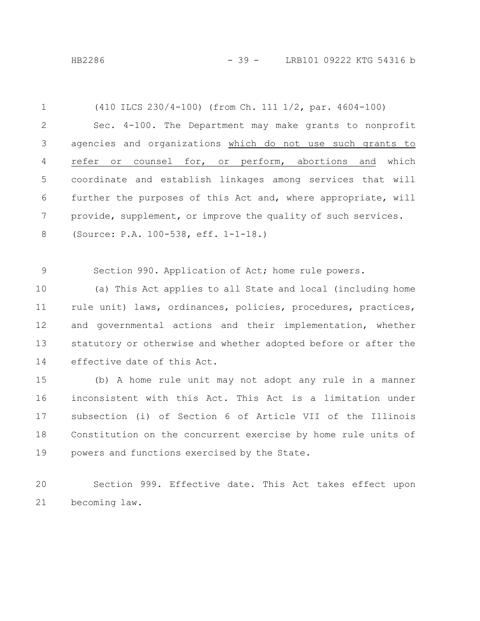HB2286 - 39 - LRB101 09222 KTG 54316 b

(410 ILCS 230/4-100) (from Ch. 111 1/2, par. 4604-100) Sec. 4-100. The Department may make grants to nonprofit agencies and organizations which do not use such grants to refer or counsel for, or perform, abortions and which coordinate and establish linkages among services that will further the purposes of this Act and, where appropriate, will provide, supplement, or improve the quality of such services. (Source: P.A. 100-538, eff. 1-1-18.) Section 990. Application of Act; home rule powers. (a) This Act applies to all State and local (including home 1 2 3 4 5 6 7 8 9 10

rule unit) laws, ordinances, policies, procedures, practices, and governmental actions and their implementation, whether statutory or otherwise and whether adopted before or after the effective date of this Act. 11 12 13 14

(b) A home rule unit may not adopt any rule in a manner inconsistent with this Act. This Act is a limitation under subsection (i) of Section 6 of Article VII of the Illinois Constitution on the concurrent exercise by home rule units of powers and functions exercised by the State. 15 16 17 18 19

Section 999. Effective date. This Act takes effect upon becoming law. 20 21